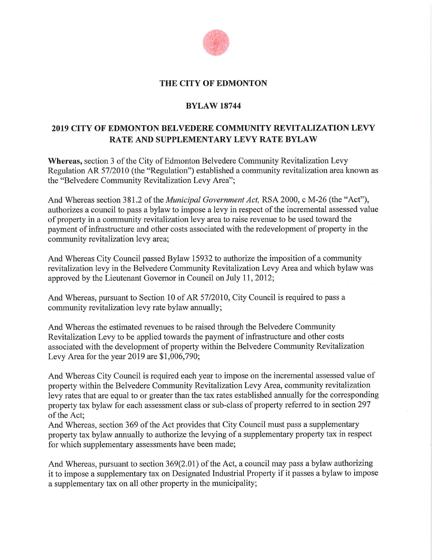

#### **THE CITY OF EDMONTON**

#### **BYLAW 18744**

### **2019 CITY OF EDMONTON BELVEDERE COMMUNITY REVITALIZATION LEVY RATE AND SUPPLEMENTARY LEVY RATE BYLAW**

**Whereas,** section 3 of the City of Edmonton Belvedere Community Revitalization Levy Regulation AR 57/2010 (the "Regulation") established a community revitalization area known as the "Belvedere Community Revitalization Levy Area";

And Whereas section 381.2 of the *Municipal Government Act,* RSA 2000, c M-26 (the "Act"), authorizes a council to pass a bylaw to impose a levy in respect of the incremental assessed value of property in a community revitalization levy area to raise revenue to be used toward the payment of infrastructure and other costs associated with the redevelopment of property in the community revitalization levy area;

And Whereas City Council passed Bylaw 15932 to authorize the imposition of a community revitalization levy in the Belvedere Community Revitalization Levy Area and which bylaw was approved by the Lieutenant Governor in Council on July 11, 2012;

And Whereas, pursuant to Section 10 of AR 57/2010, City Council is required to pass a community revitalization levy rate bylaw annually;

And Whereas the estimated revenues to be raised through the Belvedere Community Revitalization Levy to be applied towards the payment of infrastructure and other costs associated with the development of property within the Belvedere Community Revitalization Levy Area for the year 2019 are \$1,006,790;

And Whereas City Council is required each year to impose on the incremental assessed value of property within the Belvedere Community Revitalization Levy Area, community revitalization levy rates that are equal to or greater than the tax rates established annually for the corresponding property tax bylaw for each assessment class or sub-class of property referred to in section 297 of the Act;

And Whereas, section 369 of the Act provides that City Council must pass a supplementary property tax bylaw annually to authorize the levying of a supplementary property tax in respect for which supplementary assessments have been made;

And Whereas, pursuant to section 369(2.01) of the Act, a council may pass a bylaw authorizing it to impose a supplementary tax on Designated Industrial Property if it passes a bylaw to impose a supplementary tax on all other property in the municipality;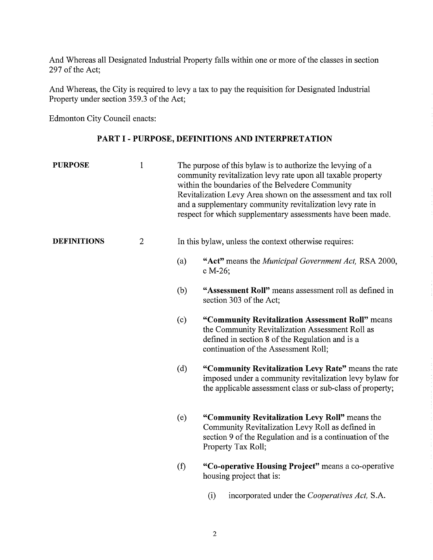And Whereas all Designated Industrial Property falls within one or more of the classes in section 297 of the Act;

And Whereas, the City is required to levy a tax to pay the requisition for Designated Industrial Property under section 359.3 of the Act;

Edmonton City Council enacts:

## PART I - PURPOSE, DEFINITIONS AND INTERPRETATION

| <b>PURPOSE</b>     | $\mathbf{1}$   | The purpose of this bylaw is to authorize the levying of a<br>community revitalization levy rate upon all taxable property<br>within the boundaries of the Belvedere Community<br>Revitalization Levy Area shown on the assessment and tax roll<br>and a supplementary community revitalization levy rate in<br>respect for which supplementary assessments have been made. |                                                                                                                                                                                                |  |  |  |
|--------------------|----------------|-----------------------------------------------------------------------------------------------------------------------------------------------------------------------------------------------------------------------------------------------------------------------------------------------------------------------------------------------------------------------------|------------------------------------------------------------------------------------------------------------------------------------------------------------------------------------------------|--|--|--|
| <b>DEFINITIONS</b> | $\overline{2}$ |                                                                                                                                                                                                                                                                                                                                                                             | In this bylaw, unless the context otherwise requires:                                                                                                                                          |  |  |  |
|                    |                | (a)                                                                                                                                                                                                                                                                                                                                                                         | "Act" means the <i>Municipal Government Act</i> , RSA 2000,<br>c M-26;                                                                                                                         |  |  |  |
|                    |                | (b)                                                                                                                                                                                                                                                                                                                                                                         | "Assessment Roll" means assessment roll as defined in<br>section 303 of the Act;                                                                                                               |  |  |  |
|                    |                | (c)                                                                                                                                                                                                                                                                                                                                                                         | "Community Revitalization Assessment Roll" means<br>the Community Revitalization Assessment Roll as<br>defined in section 8 of the Regulation and is a<br>continuation of the Assessment Roll; |  |  |  |
|                    |                | (d)                                                                                                                                                                                                                                                                                                                                                                         | "Community Revitalization Levy Rate" means the rate<br>imposed under a community revitalization levy bylaw for<br>the applicable assessment class or sub-class of property;                    |  |  |  |
|                    |                | (e)                                                                                                                                                                                                                                                                                                                                                                         | "Community Revitalization Levy Roll" means the<br>Community Revitalization Levy Roll as defined in<br>section 9 of the Regulation and is a continuation of the<br>Property Tax Roll;           |  |  |  |
|                    |                | (f)                                                                                                                                                                                                                                                                                                                                                                         | "Co-operative Housing Project" means a co-operative<br>housing project that is:                                                                                                                |  |  |  |

(i) incorporated under the *Cooperatives Act,* S.A.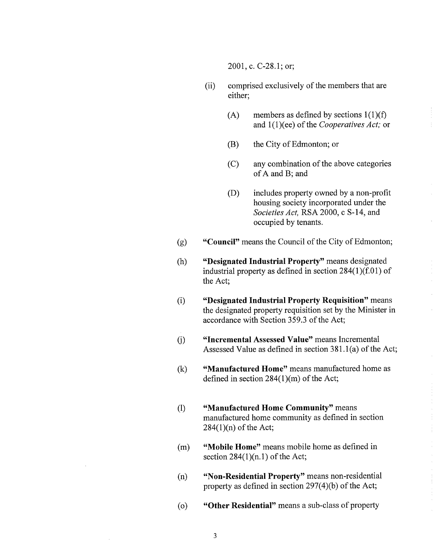2001, c. C-28.1; or;

- (ii) comprised exclusively of the members that are either;
	- (A) members as defined by sections  $1(1)(f)$ and 1(1)(ee) of the *Cooperatives Act;* or
	- (B) the City of Edmonton; or
	- (C) any combination of the above categories of A and B; and
	- (D) includes property owned by a non-profit housing society incorporated under the *Societies Act,* RSA 2000, c S-14, and occupied by tenants.
- **(g) "Council"** means the Council of the City of Edmonton;
- **(h) "Designated Industrial Property"** means designated industrial property as defined in section 284(1)(f.01) of the Act;
- **(i) "Designated Industrial Property Requisition"** means the designated property requisition set by the Minister in accordance with Section 359.3 of the Act;
- **(i) "Incremental Assessed Value"** means Incremental Assessed Value as defined in section 381.1(a) of the Act;
- (k) **"Manufactured Home"** means manufactured home as defined in section 284(1)(m) of the Act;
- (1) **"Manufactured Home Community"** means manufactured home community as defined in section 284(1)(n) of the Act;
- **(m) "Mobile Home"** means mobile home as defined in section  $284(1)(n.1)$  of the Act;
- **(n) "Non-Residential Property"** means non-residential property as defined in section 297(4)(b) of the Act;
- **(o) "Other Residential"** means a sub-class of property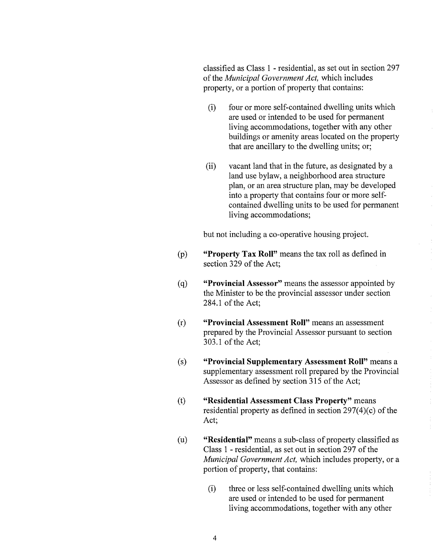classified as Class 1 - residential, as set out in section 297 of the *Municipal Government Act,* which includes property, or a portion of property that contains:

- (i) four or more self-contained dwelling units which are used or intended to be used for permanent living accommodations, together with any other buildings or amenity areas located on the property that are ancillary to the dwelling units; or;
- (ii) vacant land that in the future, as designated by a land use bylaw, a neighborhood area structure plan, or an area structure plan, may be developed into a property that contains four or more selfcontained dwelling units to be used for permanent living accommodations;

but not including a co-operative housing project.

- **(p) "Property Tax Roll"** means the tax roll as defined in section 329 of the Act;
- **(q) "Provincial Assessor"** means the assessor appointed by the Minister to be the provincial assessor under section 284.1 of the Act;
- **(r) "Provincial Assessment Roll"** means an assessment prepared by the Provincial Assessor pursuant to section 303.1 of the Act;
- **(s) "Provincial Supplementary Assessment Roll"** means a supplementary assessment roll prepared by the Provincial Assessor as defined by section 315 of the Act;
- **(t) "Residential Assessment Class Property"** means residential property as defined in section 297(4)(c) of the Act;
- **(u) "Residential"** means a sub-class of property classified as Class 1 - residential, as set out in section 297 of the *Municipal Government Act,* which includes property, or a portion of property, that contains:
	- (i) three or less self-contained dwelling units which are used or intended to be used for permanent living accommodations, together with any other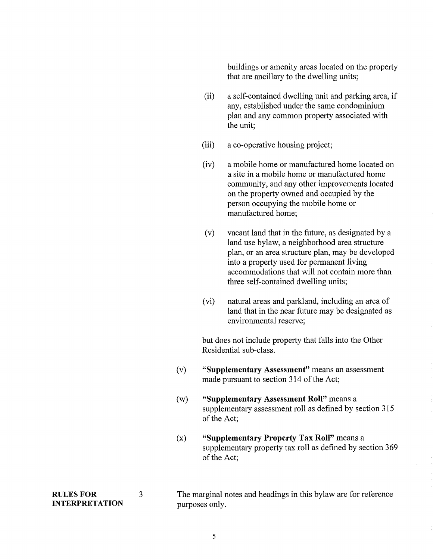buildings or amenity areas located on the property that are ancillary to the dwelling units;

- (ii) a self-contained dwelling unit and parking area, if any, established under the same condominium plan and any common property associated with the unit;
- (iii) a co-operative housing project;
- (iv) a mobile home or manufactured home located on a site in a mobile home or manufactured home community, and any other improvements located on the property owned and occupied by the person occupying the mobile home or manufactured home;
- (v) vacant land that in the future, as designated by a land use bylaw, a neighborhood area structure plan, or an area structure plan, may be developed into a property used for permanent living accommodations that will not contain more than three self-contained dwelling units;
- (vi) natural areas and parkland, including an area of land that in the near future may be designated as environmental reserve;

but does not include property that falls into the Other Residential sub-class.

- (v) "Supplementary Assessment" means an assessment made pursuant to section 314 of the Act;
- (w) "Supplementary Assessment Roll" means a supplementary assessment roll as defined by section 315 of the Act;
- (x) "Supplementary Property Tax Roll" means a supplementary property tax roll as defined by section 369 of the Act;

INTERPRETATION purposes only.

RULES FOR 3 The marginal notes and headings in this bylaw are for reference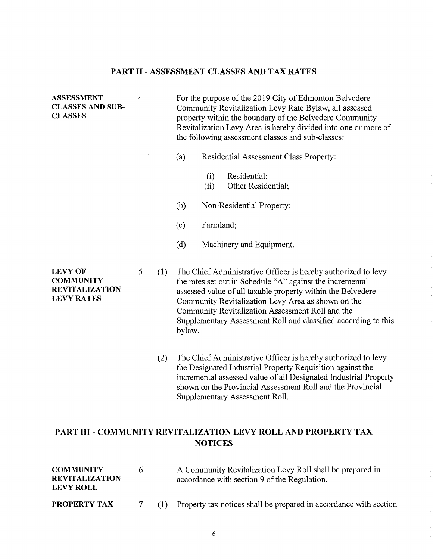## **PART II- ASSESSMENT CLASSES AND TAX RATES**

| For the purpose of the 2019 City of Edmonton Belvedere<br>Community Revitalization Levy Rate Bylaw, all assessed<br>property within the boundary of the Belvedere Community<br>Revitalization Levy Area is hereby divided into one or more of<br>the following assessment classes and sub-classes:                |  |  |
|-------------------------------------------------------------------------------------------------------------------------------------------------------------------------------------------------------------------------------------------------------------------------------------------------------------------|--|--|
|                                                                                                                                                                                                                                                                                                                   |  |  |
|                                                                                                                                                                                                                                                                                                                   |  |  |
|                                                                                                                                                                                                                                                                                                                   |  |  |
|                                                                                                                                                                                                                                                                                                                   |  |  |
|                                                                                                                                                                                                                                                                                                                   |  |  |
| The Chief Administrative Officer is hereby authorized to levy<br>the rates set out in Schedule "A" against the incremental<br>assessed value of all taxable property within the Belvedere<br>Community Revitalization Levy Area as shown on the<br>Supplementary Assessment Roll and classified according to this |  |  |
| The Chief Administrative Officer is hereby authorized to levy<br>the Designated Industrial Property Requisition against the<br>incremental assessed value of all Designated Industrial Property<br>shown on the Provincial Assessment Roll and the Provincial                                                     |  |  |
| Community Revitalization Assessment Roll and the                                                                                                                                                                                                                                                                  |  |  |

# **PART III - COMMUNITY REVITALIZATION LEVY ROLL AND PROPERTY TAX NOTICES**

| <b>COMMUNITY</b><br><b>REVITALIZATION</b><br>LEVY ROLL- |  | A Community Revitalization Levy Roll shall be prepared in<br>accordance with section 9 of the Regulation. |
|---------------------------------------------------------|--|-----------------------------------------------------------------------------------------------------------|
| <b>PROPERTY TAX</b>                                     |  | (1) Property tax notices shall be prepared in accordance with section                                     |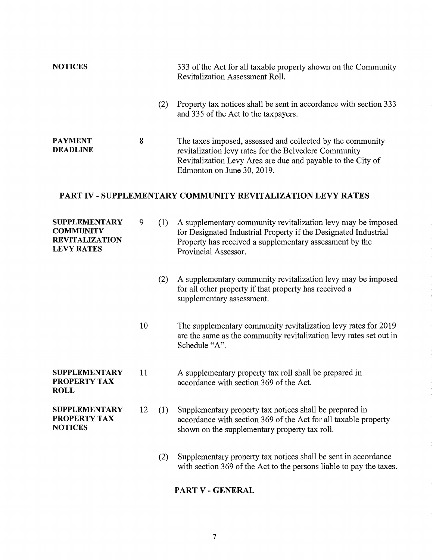| <b>NOTICES</b>                                                                         |    |     | 333 of the Act for all taxable property shown on the Community<br>Revitalization Assessment Roll.                                                                                                                  |  |  |
|----------------------------------------------------------------------------------------|----|-----|--------------------------------------------------------------------------------------------------------------------------------------------------------------------------------------------------------------------|--|--|
|                                                                                        |    | (2) | Property tax notices shall be sent in accordance with section 333<br>and 335 of the Act to the taxpayers.                                                                                                          |  |  |
| <b>PAYMENT</b><br><b>DEADLINE</b>                                                      | 8  |     | The taxes imposed, assessed and collected by the community<br>revitalization levy rates for the Belvedere Community<br>Revitalization Levy Area are due and payable to the City of<br>Edmonton on June 30, 2019.   |  |  |
|                                                                                        |    |     | <b>PART IV - SUPPLEMENTARY COMMUNITY REVITALIZATION LEVY RATES</b>                                                                                                                                                 |  |  |
| <b>SUPPLEMENTARY</b><br><b>COMMUNITY</b><br><b>REVITALIZATION</b><br><b>LEVY RATES</b> | 9  | (1) | A supplementary community revitalization levy may be imposed<br>for Designated Industrial Property if the Designated Industrial<br>Property has received a supplementary assessment by the<br>Provincial Assessor. |  |  |
|                                                                                        |    | (2) | A supplementary community revitalization levy may be imposed<br>for all other property if that property has received a<br>supplementary assessment.                                                                |  |  |
|                                                                                        | 10 |     | The supplementary community revitalization levy rates for 2019<br>are the same as the community revitalization levy rates set out in<br>Schedule "A".                                                              |  |  |
| <b>SUPPLEMENTARY</b><br>PROPERTY TAX<br><b>ROLL</b>                                    | 11 |     | A supplementary property tax roll shall be prepared in<br>accordance with section 369 of the Act.                                                                                                                  |  |  |
| <b>SUPPLEMENTARY</b><br>PROPERTY TAX<br><b>NOTICES</b>                                 | 12 | (1) | Supplementary property tax notices shall be prepared in<br>accordance with section 369 of the Act for all taxable property<br>shown on the supplementary property tax roll.                                        |  |  |
|                                                                                        |    | (2) | Supplementary property tax notices shall be sent in accordance<br>with section 369 of the Act to the persons liable to pay the taxes.                                                                              |  |  |

# **PART V - GENERAL**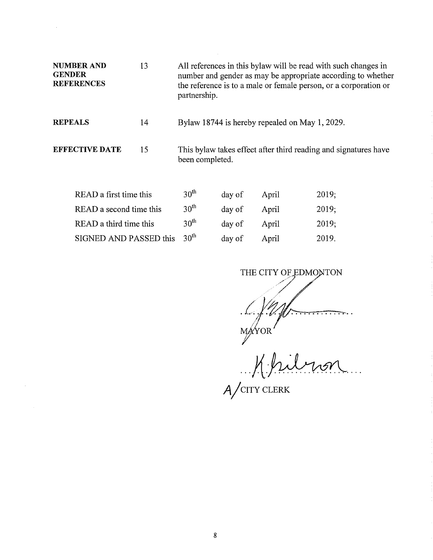| <b>NUMBER AND</b><br><b>GENDER</b><br><b>REFERENCES</b> | 13 | All references in this bylaw will be read with such changes in<br>number and gender as may be appropriate according to whether<br>the reference is to a male or female person, or a corporation or<br>partnership. |
|---------------------------------------------------------|----|--------------------------------------------------------------------------------------------------------------------------------------------------------------------------------------------------------------------|
| <b>REPEALS</b>                                          | 14 | Bylaw 18744 is hereby repealed on May 1, 2029.                                                                                                                                                                     |
| <b>EFFECTIVE DATE</b>                                   | 15 | This by law takes effect after third reading and signatures have<br>been completed.                                                                                                                                |

| READ a first time this  | 30 <sup>th</sup> | day of | April | 2019: |
|-------------------------|------------------|--------|-------|-------|
| READ a second time this | 30 <sup>th</sup> | day of | April | 2019; |
| READ a third time this  | 30 <sup>th</sup> | day of | April | 2019; |
| SIGNED AND PASSED this  | $-30th$          | day of | April | 2019. |

 $\mathcal{L}(\mathcal{A})$  .

 $\hat{\boldsymbol{\gamma}}$ 

THE CITY OF ,2 EDMONTON

MAYOR<br>M. hilron